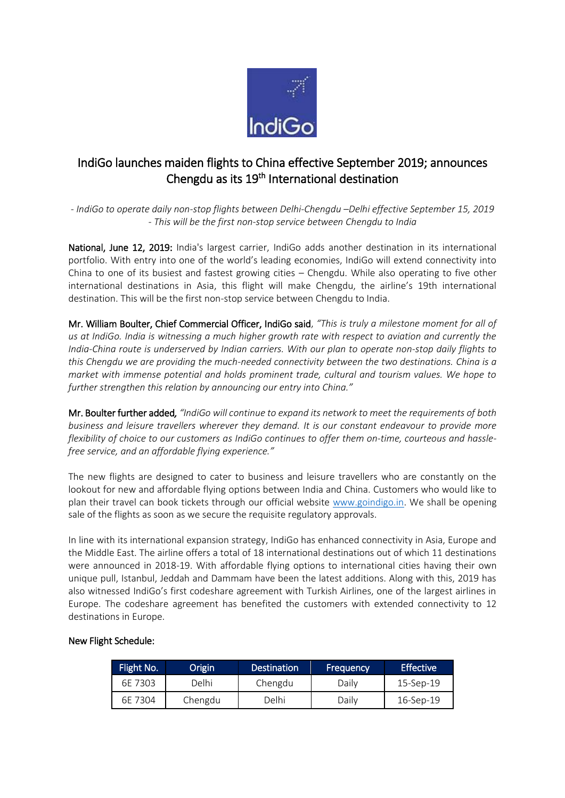

## IndiGo launches maiden flights to China effective September 2019; announces Chengdu as its 19<sup>th</sup> International destination

*- IndiGo to operate daily non-stop flights between Delhi-Chengdu –Delhi effective September 15, 2019 - This will be the first non-stop service between Chengdu to India*

National, June 12, 2019: India's largest carrier, IndiGo adds another destination in its international portfolio. With entry into one of the world's leading economies, IndiGo will extend connectivity into China to one of its busiest and fastest growing cities – Chengdu. While also operating to five other international destinations in Asia, this flight will make Chengdu, the airline's 19th international destination. This will be the first non-stop service between Chengdu to India.

Mr. William Boulter, Chief Commercial Officer, IndiGo said, *"This is truly a milestone moment for all of us at IndiGo. India is witnessing a much higher growth rate with respect to aviation and currently the India-China route is underserved by Indian carriers. With our plan to operate non-stop daily flights to this Chengdu we are providing the much-needed connectivity between the two destinations. China is a market with immense potential and holds prominent trade, cultural and tourism values. We hope to further strengthen this relation by announcing our entry into China."*

Mr. Boulter further added*, "IndiGo will continue to expand its network to meet the requirements of both business and leisure travellers wherever they demand. It is our constant endeavour to provide more flexibility of choice to our customers as IndiGo continues to offer them on-time, courteous and hasslefree service, and an affordable flying experience."* 

The new flights are designed to cater to business and leisure travellers who are constantly on the lookout for new and affordable flying options between India and China. Customers who would like to plan their travel can book tickets through our official website [www.goindigo.in.](https://urldefense.proofpoint.com/v2/url?u=http-3A__www.goindigo.in&d=DwMFAg&c=qwStF0e4-YFyvjCeML3ehA&r=wP6ehsLHl1ir1UL4YeptzYIRG_X-5mxSgPSttnl0snU&m=-g33FaFr1ljQ8OQVTf-53hddjaciYbt0ybWs4NfoZuw&s=pBZWkJf1IjnttKkzQkzIHMI948C1oKxUb1PO66ZFWZs&e=) We shall be opening sale of the flights as soon as we secure the requisite regulatory approvals.

In line with its international expansion strategy, IndiGo has enhanced connectivity in Asia, Europe and the Middle East. The airline offers a total of 18 international destinations out of which 11 destinations were announced in 2018-19. With affordable flying options to international cities having their own unique pull, Istanbul, Jeddah and Dammam have been the latest additions. Along with this, 2019 has also witnessed IndiGo's first codeshare agreement with Turkish Airlines, one of the largest airlines in Europe. The codeshare agreement has benefited the customers with extended connectivity to 12 destinations in Europe.

## New Flight Schedule:

| Flight No. | Origin  | <b>Destination</b> | Frequency | <b>Effective</b> |
|------------|---------|--------------------|-----------|------------------|
| 6F 7303    | Delhi   | Chengdu            | Daily     | 15-Sep-19        |
| 6F 7304    | Chengdu | Delhi              | Dailv     | 16-Sep-19        |